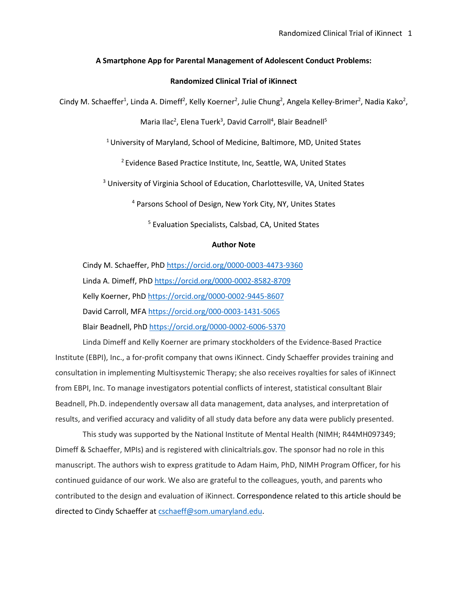## **A Smartphone App for Parental Management of Adolescent Conduct Problems:**

## **Randomized Clinical Trial of iKinnect**

Cindy M. Schaeffer<sup>1</sup>, Linda A. Dimeff<sup>2</sup>, Kelly Koerner<sup>2</sup>, Julie Chung<sup>2</sup>, Angela Kelley-Brimer<sup>2</sup>, Nadia Kako<sup>2</sup>,

Maria Ilac<sup>2</sup>, Elena Tuerk<sup>3</sup>, David Carroll<sup>4</sup>, Blair Beadnell<sup>5</sup>

<sup>1</sup> University of Maryland, School of Medicine, Baltimore, MD, United States

<sup>2</sup> Evidence Based Practice Institute, Inc, Seattle, WA, United States

<sup>3</sup> University of Virginia School of Education, Charlottesville, VA, United States

<sup>4</sup> Parsons School of Design, New York City, NY, Unites States

<sup>5</sup> Evaluation Specialists, Calsbad, CA, United States

### **Author Note**

Cindy M. Schaeffer, PhD https://orcid.org/0000-0003-4473-9360 Linda A. Dimeff, PhD https://orcid.org/0000-0002-8582-8709 Kelly Koerner, PhD https://orcid.org/0000-0002-9445-8607 David Carroll, MFA https://orcid.org/000-0003-1431-5065 Blair Beadnell, PhD https://orcid.org/0000-0002-6006-5370

Linda Dimeff and Kelly Koerner are primary stockholders of the Evidence-Based Practice Institute (EBPI), Inc., a for-profit company that owns iKinnect. Cindy Schaeffer provides training and consultation in implementing Multisystemic Therapy; she also receives royalties for sales of iKinnect from EBPI, Inc. To manage investigators potential conflicts of interest, statistical consultant Blair Beadnell, Ph.D. independently oversaw all data management, data analyses, and interpretation of results, and verified accuracy and validity of all study data before any data were publicly presented.

This study was supported by the National Institute of Mental Health (NIMH; R44MH097349; Dimeff & Schaeffer, MPIs) and is registered with clinicaltrials.gov. The sponsor had no role in this manuscript. The authors wish to express gratitude to Adam Haim, PhD, NIMH Program Officer, for his continued guidance of our work. We also are grateful to the colleagues, youth, and parents who contributed to the design and evaluation of iKinnect. Correspondence related to this article should be directed to Cindy Schaeffer at cschaeff@som.umaryland.edu.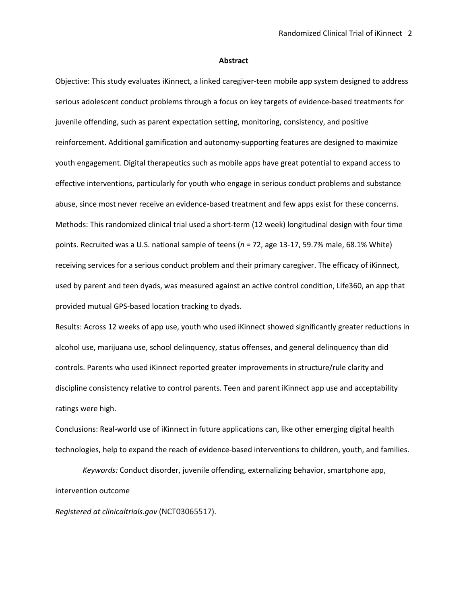#### **Abstract**

Objective: This study evaluates iKinnect, a linked caregiver-teen mobile app system designed to address serious adolescent conduct problems through a focus on key targets of evidence-based treatments for juvenile offending, such as parent expectation setting, monitoring, consistency, and positive reinforcement. Additional gamification and autonomy-supporting features are designed to maximize youth engagement. Digital therapeutics such as mobile apps have great potential to expand access to effective interventions, particularly for youth who engage in serious conduct problems and substance abuse, since most never receive an evidence-based treatment and few apps exist for these concerns. Methods: This randomized clinical trial used a short-term (12 week) longitudinal design with four time points. Recruited was a U.S. national sample of teens (*n* = 72, age 13-17, 59.7% male, 68.1% White) receiving services for a serious conduct problem and their primary caregiver. The efficacy of iKinnect, used by parent and teen dyads, was measured against an active control condition, Life360, an app that provided mutual GPS-based location tracking to dyads.

Results: Across 12 weeks of app use, youth who used iKinnect showed significantly greater reductions in alcohol use, marijuana use, school delinquency, status offenses, and general delinquency than did controls. Parents who used iKinnect reported greater improvements in structure/rule clarity and discipline consistency relative to control parents. Teen and parent iKinnect app use and acceptability ratings were high.

Conclusions: Real-world use of iKinnect in future applications can, like other emerging digital health technologies, help to expand the reach of evidence-based interventions to children, youth, and families.

*Keywords:* Conduct disorder, juvenile offending, externalizing behavior, smartphone app, intervention outcome

*Registered at clinicaltrials.gov* (NCT03065517).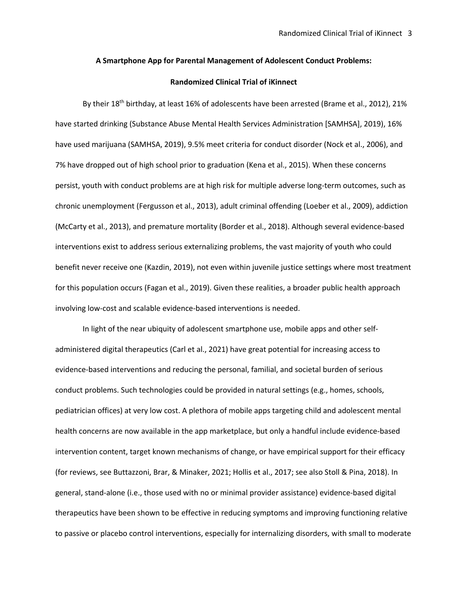#### **A Smartphone App for Parental Management of Adolescent Conduct Problems:**

## **Randomized Clinical Trial of iKinnect**

By their 18<sup>th</sup> birthday, at least 16% of adolescents have been arrested (Brame et al., 2012), 21% have started drinking (Substance Abuse Mental Health Services Administration [SAMHSA], 2019), 16% have used marijuana (SAMHSA, 2019), 9.5% meet criteria for conduct disorder (Nock et al., 2006), and 7% have dropped out of high school prior to graduation (Kena et al., 2015). When these concerns persist, youth with conduct problems are at high risk for multiple adverse long-term outcomes, such as chronic unemployment (Fergusson et al., 2013), adult criminal offending (Loeber et al., 2009), addiction (McCarty et al., 2013), and premature mortality (Border et al., 2018). Although several evidence-based interventions exist to address serious externalizing problems, the vast majority of youth who could benefit never receive one (Kazdin, 2019), not even within juvenile justice settings where most treatment for this population occurs (Fagan et al., 2019). Given these realities, a broader public health approach involving low-cost and scalable evidence-based interventions is needed.

In light of the near ubiquity of adolescent smartphone use, mobile apps and other selfadministered digital therapeutics (Carl et al., 2021) have great potential for increasing access to evidence-based interventions and reducing the personal, familial, and societal burden of serious conduct problems. Such technologies could be provided in natural settings (e.g., homes, schools, pediatrician offices) at very low cost. A plethora of mobile apps targeting child and adolescent mental health concerns are now available in the app marketplace, but only a handful include evidence-based intervention content, target known mechanisms of change, or have empirical support for their efficacy (for reviews, see Buttazzoni, Brar, & Minaker, 2021; Hollis et al., 2017; see also Stoll & Pina, 2018). In general, stand-alone (i.e., those used with no or minimal provider assistance) evidence-based digital therapeutics have been shown to be effective in reducing symptoms and improving functioning relative to passive or placebo control interventions, especially for internalizing disorders, with small to moderate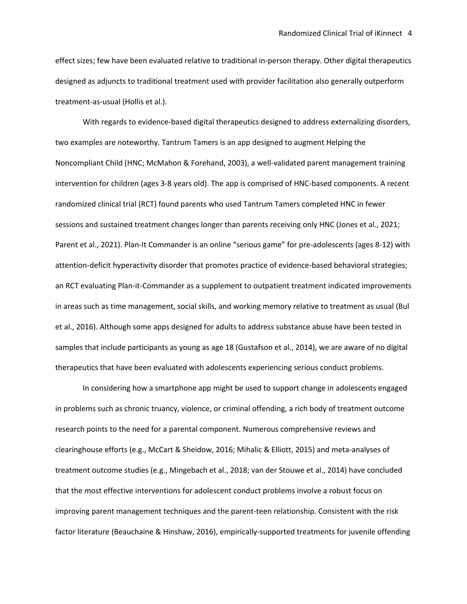effect sizes; few have been evaluated relative to traditional in-person therapy. Other digital therapeutics designed as adjuncts to traditional treatment used with provider facilitation also generally outperform treatment-as-usual (Hollis et al.).

With regards to evidence-based digital therapeutics designed to address externalizing disorders, two examples are noteworthy. Tantrum Tamers is an app designed to augment Helping the Noncompliant Child (HNC; McMahon & Forehand, 2003), a well-validated parent management training intervention for children (ages 3-8 years old). The app is comprised of HNC-based components. A recent randomized clinical trial (RCT) found parents who used Tantrum Tamers completed HNC in fewer sessions and sustained treatment changes longer than parents receiving only HNC (Jones et al., 2021; Parent et al., 2021). Plan-It Commander is an online "serious game" for pre-adolescents (ages 8-12) with attention-deficit hyperactivity disorder that promotes practice of evidence-based behavioral strategies; an RCT evaluating Plan-it-Commander as a supplement to outpatient treatment indicated improvements in areas such as time management, social skills, and working memory relative to treatment as usual (Bul et al., 2016). Although some apps designed for adults to address substance abuse have been tested in samples that include participants as young as age 18 (Gustafson et al., 2014), we are aware of no digital therapeutics that have been evaluated with adolescents experiencing serious conduct problems.

In considering how a smartphone app might be used to support change in adolescents engaged in problems such as chronic truancy, violence, or criminal offending, a rich body of treatment outcome research points to the need for a parental component. Numerous comprehensive reviews and clearinghouse efforts (e.g., McCart & Sheidow, 2016; Mihalic & Elliott, 2015) and meta-analyses of treatment outcome studies (e.g., Mingebach et al., 2018; van der Stouwe et al., 2014) have concluded that the most effective interventions for adolescent conduct problems involve a robust focus on improving parent management techniques and the parent-teen relationship. Consistent with the risk factor literature (Beauchaine & Hinshaw, 2016), empirically-supported treatments for juvenile offending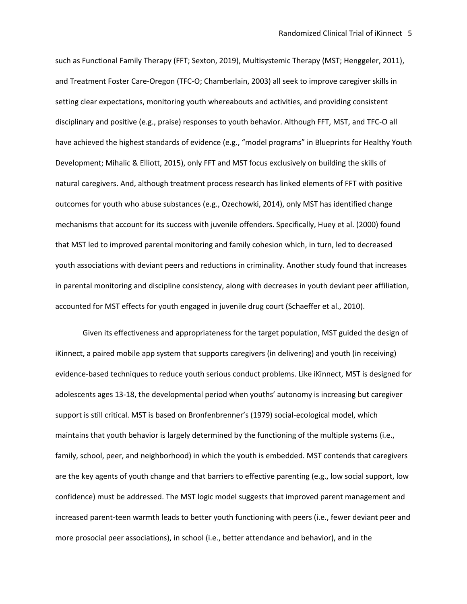such as Functional Family Therapy (FFT; Sexton, 2019), Multisystemic Therapy (MST; Henggeler, 2011), and Treatment Foster Care-Oregon (TFC-O; Chamberlain, 2003) all seek to improve caregiver skills in setting clear expectations, monitoring youth whereabouts and activities, and providing consistent disciplinary and positive (e.g., praise) responses to youth behavior. Although FFT, MST, and TFC-O all have achieved the highest standards of evidence (e.g., "model programs" in Blueprints for Healthy Youth Development; Mihalic & Elliott, 2015), only FFT and MST focus exclusively on building the skills of natural caregivers. And, although treatment process research has linked elements of FFT with positive outcomes for youth who abuse substances (e.g., Ozechowki, 2014), only MST has identified change mechanisms that account for its success with juvenile offenders. Specifically, Huey et al. (2000) found that MST led to improved parental monitoring and family cohesion which, in turn, led to decreased youth associations with deviant peers and reductions in criminality. Another study found that increases in parental monitoring and discipline consistency, along with decreases in youth deviant peer affiliation, accounted for MST effects for youth engaged in juvenile drug court (Schaeffer et al., 2010).

Given its effectiveness and appropriateness for the target population, MST guided the design of iKinnect, a paired mobile app system that supports caregivers (in delivering) and youth (in receiving) evidence-based techniques to reduce youth serious conduct problems. Like iKinnect, MST is designed for adolescents ages 13-18, the developmental period when youths' autonomy is increasing but caregiver support is still critical. MST is based on Bronfenbrenner's (1979) social-ecological model, which maintains that youth behavior is largely determined by the functioning of the multiple systems (i.e., family, school, peer, and neighborhood) in which the youth is embedded. MST contends that caregivers are the key agents of youth change and that barriers to effective parenting (e.g., low social support, low confidence) must be addressed. The MST logic model suggests that improved parent management and increased parent-teen warmth leads to better youth functioning with peers (i.e., fewer deviant peer and more prosocial peer associations), in school (i.e., better attendance and behavior), and in the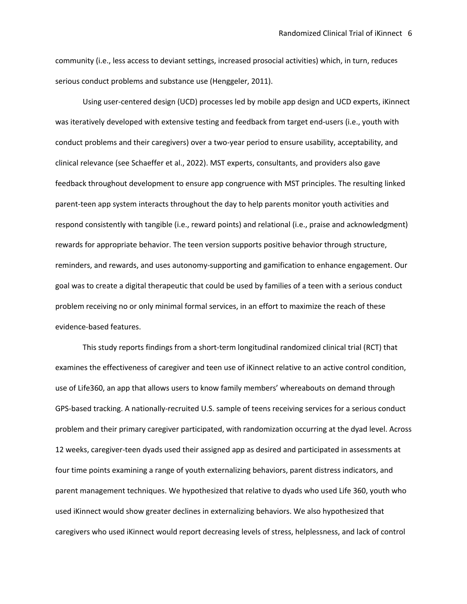community (i.e., less access to deviant settings, increased prosocial activities) which, in turn, reduces serious conduct problems and substance use (Henggeler, 2011).

Using user-centered design (UCD) processes led by mobile app design and UCD experts, iKinnect was iteratively developed with extensive testing and feedback from target end-users (i.e., youth with conduct problems and their caregivers) over a two-year period to ensure usability, acceptability, and clinical relevance (see Schaeffer et al., 2022). MST experts, consultants, and providers also gave feedback throughout development to ensure app congruence with MST principles. The resulting linked parent-teen app system interacts throughout the day to help parents monitor youth activities and respond consistently with tangible (i.e., reward points) and relational (i.e., praise and acknowledgment) rewards for appropriate behavior. The teen version supports positive behavior through structure, reminders, and rewards, and uses autonomy-supporting and gamification to enhance engagement. Our goal was to create a digital therapeutic that could be used by families of a teen with a serious conduct problem receiving no or only minimal formal services, in an effort to maximize the reach of these evidence-based features.

This study reports findings from a short-term longitudinal randomized clinical trial (RCT) that examines the effectiveness of caregiver and teen use of iKinnect relative to an active control condition, use of Life360, an app that allows users to know family members' whereabouts on demand through GPS-based tracking. A nationally-recruited U.S. sample of teens receiving services for a serious conduct problem and their primary caregiver participated, with randomization occurring at the dyad level. Across 12 weeks, caregiver-teen dyads used their assigned app as desired and participated in assessments at four time points examining a range of youth externalizing behaviors, parent distress indicators, and parent management techniques. We hypothesized that relative to dyads who used Life 360, youth who used iKinnect would show greater declines in externalizing behaviors. We also hypothesized that caregivers who used iKinnect would report decreasing levels of stress, helplessness, and lack of control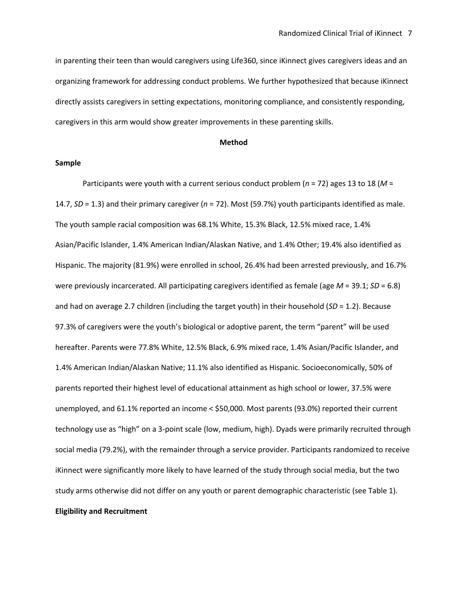in parenting their teen than would caregivers using Life360, since iKinnect gives caregivers ideas and an organizing framework for addressing conduct problems. We further hypothesized that because iKinnect directly assists caregivers in setting expectations, monitoring compliance, and consistently responding, caregivers in this arm would show greater improvements in these parenting skills.

#### **Method**

#### **Sample**

Participants were youth with a current serious conduct problem (*n* = 72) ages 13 to 18 (*M* = 14.7, *SD* = 1.3) and their primary caregiver (*n* = 72). Most (59.7%) youth participants identified as male. The youth sample racial composition was 68.1% White, 15.3% Black, 12.5% mixed race, 1.4% Asian/Pacific Islander, 1.4% American Indian/Alaskan Native, and 1.4% Other; 19.4% also identified as Hispanic. The majority (81.9%) were enrolled in school, 26.4% had been arrested previously, and 16.7% were previously incarcerated. All participating caregivers identified as female (age *M* = 39.1; *SD* = 6.8) and had on average 2.7 children (including the target youth) in their household (*SD* = 1.2). Because 97.3% of caregivers were the youth's biological or adoptive parent, the term "parent" will be used hereafter. Parents were 77.8% White, 12.5% Black, 6.9% mixed race, 1.4% Asian/Pacific Islander, and 1.4% American Indian/Alaskan Native; 11.1% also identified as Hispanic. Socioeconomically, 50% of parents reported their highest level of educational attainment as high school or lower, 37.5% were unemployed, and 61.1% reported an income < \$50,000. Most parents (93.0%) reported their current technology use as "high" on a 3-point scale (low, medium, high). Dyads were primarily recruited through social media (79.2%), with the remainder through a service provider. Participants randomized to receive iKinnect were significantly more likely to have learned of the study through social media, but the two study arms otherwise did not differ on any youth or parent demographic characteristic (see Table 1). **Eligibility and Recruitment**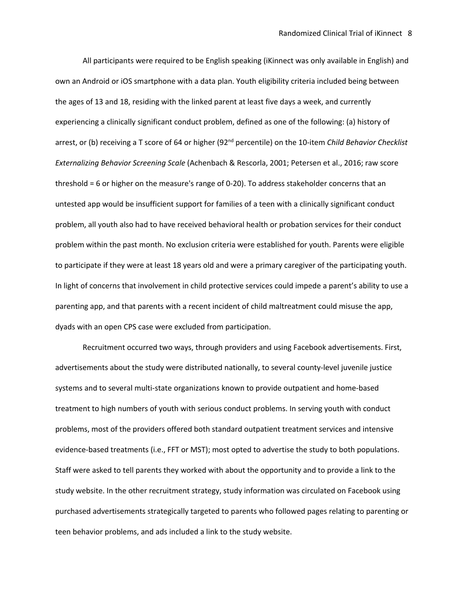All participants were required to be English speaking (iKinnect was only available in English) and own an Android or iOS smartphone with a data plan. Youth eligibility criteria included being between the ages of 13 and 18, residing with the linked parent at least five days a week, and currently experiencing a clinically significant conduct problem, defined as one of the following: (a) history of arrest, or (b) receiving a T score of 64 or higher (92nd percentile) on the 10-item *Child Behavior Checklist Externalizing Behavior Screening Scale* (Achenbach & Rescorla, 2001; Petersen et al., 2016; raw score threshold = 6 or higher on the measure's range of 0-20). To address stakeholder concerns that an untested app would be insufficient support for families of a teen with a clinically significant conduct problem, all youth also had to have received behavioral health or probation services for their conduct problem within the past month. No exclusion criteria were established for youth. Parents were eligible to participate if they were at least 18 years old and were a primary caregiver of the participating youth. In light of concerns that involvement in child protective services could impede a parent's ability to use a parenting app, and that parents with a recent incident of child maltreatment could misuse the app, dyads with an open CPS case were excluded from participation.

Recruitment occurred two ways, through providers and using Facebook advertisements. First, advertisements about the study were distributed nationally, to several county-level juvenile justice systems and to several multi-state organizations known to provide outpatient and home-based treatment to high numbers of youth with serious conduct problems. In serving youth with conduct problems, most of the providers offered both standard outpatient treatment services and intensive evidence-based treatments (i.e., FFT or MST); most opted to advertise the study to both populations. Staff were asked to tell parents they worked with about the opportunity and to provide a link to the study website. In the other recruitment strategy, study information was circulated on Facebook using purchased advertisements strategically targeted to parents who followed pages relating to parenting or teen behavior problems, and ads included a link to the study website.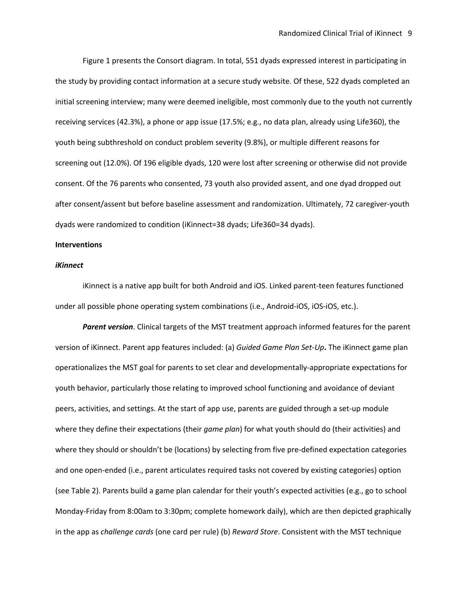Figure 1 presents the Consort diagram. In total, 551 dyads expressed interest in participating in the study by providing contact information at a secure study website. Of these, 522 dyads completed an initial screening interview; many were deemed ineligible, most commonly due to the youth not currently receiving services (42.3%), a phone or app issue (17.5%; e.g., no data plan, already using Life360), the youth being subthreshold on conduct problem severity (9.8%), or multiple different reasons for screening out (12.0%). Of 196 eligible dyads, 120 were lost after screening or otherwise did not provide consent. Of the 76 parents who consented, 73 youth also provided assent, and one dyad dropped out after consent/assent but before baseline assessment and randomization. Ultimately, 72 caregiver-youth dyads were randomized to condition (iKinnect=38 dyads; Life360=34 dyads).

### **Interventions**

#### *iKinnect*

iKinnect is a native app built for both Android and iOS. Linked parent-teen features functioned under all possible phone operating system combinations (i.e., Android-iOS, iOS-iOS, etc.).

*Parent version*. Clinical targets of the MST treatment approach informed features for the parent version of iKinnect. Parent app features included: (a) *Guided Game Plan Set-Up***.** The iKinnect game plan operationalizes the MST goal for parents to set clear and developmentally-appropriate expectations for youth behavior, particularly those relating to improved school functioning and avoidance of deviant peers, activities, and settings. At the start of app use, parents are guided through a set-up module where they define their expectations (their *game plan*) for what youth should do (their activities) and where they should or shouldn't be (locations) by selecting from five pre-defined expectation categories and one open-ended (i.e., parent articulates required tasks not covered by existing categories) option (see Table 2). Parents build a game plan calendar for their youth's expected activities (e.g., go to school Monday-Friday from 8:00am to 3:30pm; complete homework daily), which are then depicted graphically in the app as *challenge cards* (one card per rule) (b) *Reward Store*. Consistent with the MST technique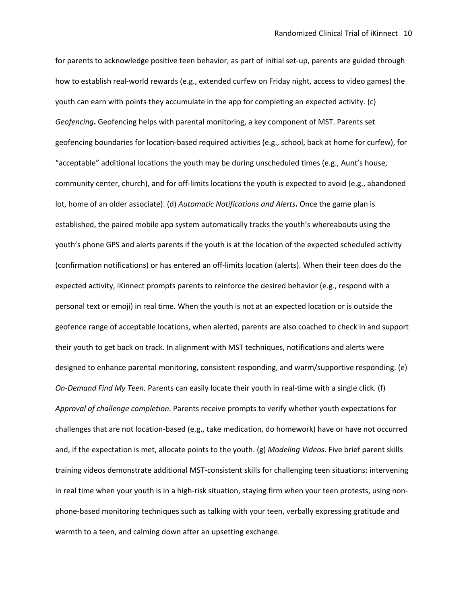for parents to acknowledge positive teen behavior, as part of initial set-up, parents are guided through how to establish real-world rewards (e.g., extended curfew on Friday night, access to video games) the youth can earn with points they accumulate in the app for completing an expected activity. (c) *Geofencing***.** Geofencing helps with parental monitoring, a key component of MST. Parents set geofencing boundaries for location-based required activities (e.g., school, back at home for curfew), for "acceptable" additional locations the youth may be during unscheduled times (e.g., Aunt's house, community center, church), and for off-limits locations the youth is expected to avoid (e.g., abandoned lot, home of an older associate). (d) *Automatic Notifications and Alerts***.** Once the game plan is established, the paired mobile app system automatically tracks the youth's whereabouts using the youth's phone GPS and alerts parents if the youth is at the location of the expected scheduled activity (confirmation notifications) or has entered an off-limits location (alerts). When their teen does do the expected activity, iKinnect prompts parents to reinforce the desired behavior (e.g., respond with a personal text or emoji) in real time. When the youth is not at an expected location or is outside the geofence range of acceptable locations, when alerted, parents are also coached to check in and support their youth to get back on track. In alignment with MST techniques, notifications and alerts were designed to enhance parental monitoring, consistent responding, and warm/supportive responding. (e) *On-Demand Find My Teen.* Parents can easily locate their youth in real-time with a single click. (f) *Approval of challenge completion*. Parents receive prompts to verify whether youth expectations for challenges that are not location-based (e.g., take medication, do homework) have or have not occurred and, if the expectation is met, allocate points to the youth. (g) *Modeling Videos.* Five brief parent skills training videos demonstrate additional MST-consistent skills for challenging teen situations: intervening in real time when your youth is in a high-risk situation, staying firm when your teen protests, using nonphone-based monitoring techniques such as talking with your teen, verbally expressing gratitude and warmth to a teen, and calming down after an upsetting exchange.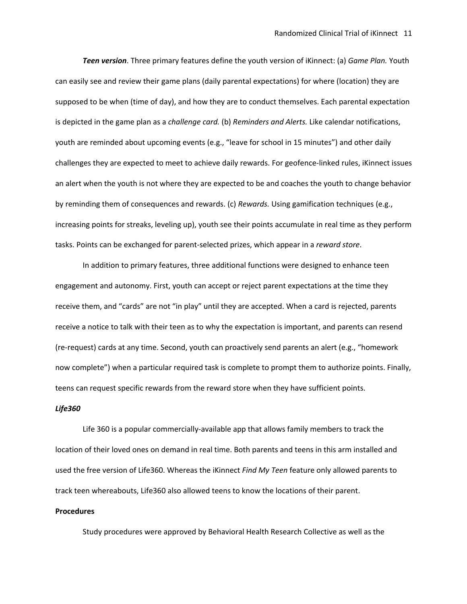*Teen version*. Three primary features define the youth version of iKinnect: (a) *Game Plan.* Youth can easily see and review their game plans (daily parental expectations) for where (location) they are supposed to be when (time of day), and how they are to conduct themselves. Each parental expectation is depicted in the game plan as a *challenge card.* (b) *Reminders and Alerts.* Like calendar notifications, youth are reminded about upcoming events (e.g., "leave for school in 15 minutes") and other daily challenges they are expected to meet to achieve daily rewards. For geofence-linked rules, iKinnect issues an alert when the youth is not where they are expected to be and coaches the youth to change behavior by reminding them of consequences and rewards. (c) *Rewards.* Using gamification techniques (e.g., increasing points for streaks, leveling up), youth see their points accumulate in real time as they perform tasks. Points can be exchanged for parent-selected prizes, which appear in a *reward store*.

In addition to primary features, three additional functions were designed to enhance teen engagement and autonomy. First, youth can accept or reject parent expectations at the time they receive them, and "cards" are not "in play" until they are accepted. When a card is rejected, parents receive a notice to talk with their teen as to why the expectation is important, and parents can resend (re-request) cards at any time. Second, youth can proactively send parents an alert (e.g., "homework now complete") when a particular required task is complete to prompt them to authorize points. Finally, teens can request specific rewards from the reward store when they have sufficient points.

#### *Life360*

Life 360 is a popular commercially-available app that allows family members to track the location of their loved ones on demand in real time. Both parents and teens in this arm installed and used the free version of Life360. Whereas the iKinnect *Find My Teen* feature only allowed parents to track teen whereabouts, Life360 also allowed teens to know the locations of their parent.

#### **Procedures**

Study procedures were approved by Behavioral Health Research Collective as well as the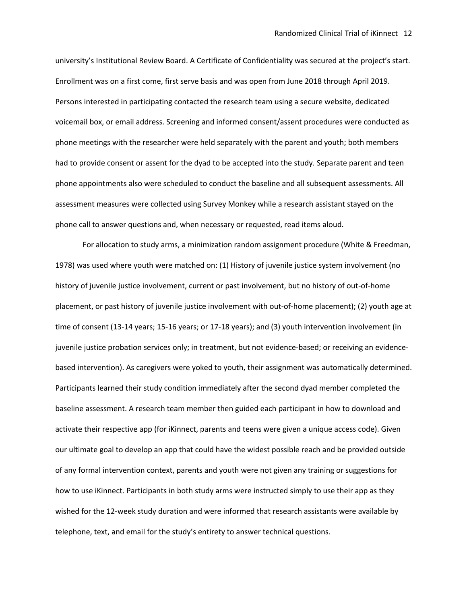university's Institutional Review Board. A Certificate of Confidentiality was secured at the project's start. Enrollment was on a first come, first serve basis and was open from June 2018 through April 2019. Persons interested in participating contacted the research team using a secure website, dedicated voicemail box, or email address. Screening and informed consent/assent procedures were conducted as phone meetings with the researcher were held separately with the parent and youth; both members had to provide consent or assent for the dyad to be accepted into the study. Separate parent and teen phone appointments also were scheduled to conduct the baseline and all subsequent assessments. All assessment measures were collected using Survey Monkey while a research assistant stayed on the phone call to answer questions and, when necessary or requested, read items aloud.

For allocation to study arms, a minimization random assignment procedure (White & Freedman, 1978) was used where youth were matched on: (1) History of juvenile justice system involvement (no history of juvenile justice involvement, current or past involvement, but no history of out-of-home placement, or past history of juvenile justice involvement with out-of-home placement); (2) youth age at time of consent (13-14 years; 15-16 years; or 17-18 years); and (3) youth intervention involvement (in juvenile justice probation services only; in treatment, but not evidence-based; or receiving an evidencebased intervention). As caregivers were yoked to youth, their assignment was automatically determined. Participants learned their study condition immediately after the second dyad member completed the baseline assessment. A research team member then guided each participant in how to download and activate their respective app (for iKinnect, parents and teens were given a unique access code). Given our ultimate goal to develop an app that could have the widest possible reach and be provided outside of any formal intervention context, parents and youth were not given any training or suggestions for how to use iKinnect. Participants in both study arms were instructed simply to use their app as they wished for the 12-week study duration and were informed that research assistants were available by telephone, text, and email for the study's entirety to answer technical questions.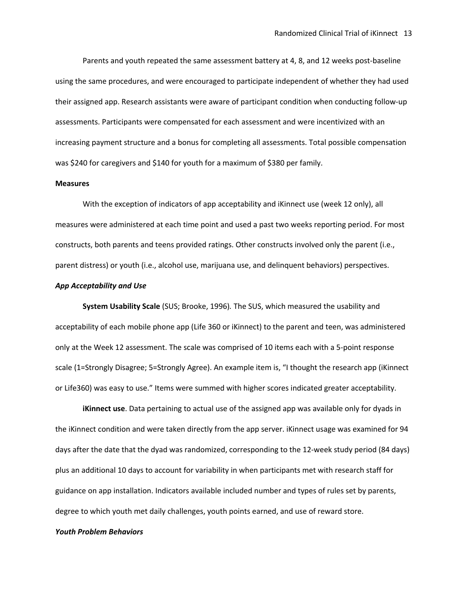Parents and youth repeated the same assessment battery at 4, 8, and 12 weeks post-baseline using the same procedures, and were encouraged to participate independent of whether they had used their assigned app. Research assistants were aware of participant condition when conducting follow-up assessments. Participants were compensated for each assessment and were incentivized with an increasing payment structure and a bonus for completing all assessments. Total possible compensation was \$240 for caregivers and \$140 for youth for a maximum of \$380 per family.

#### **Measures**

With the exception of indicators of app acceptability and iKinnect use (week 12 only), all measures were administered at each time point and used a past two weeks reporting period. For most constructs, both parents and teens provided ratings. Other constructs involved only the parent (i.e., parent distress) or youth (i.e., alcohol use, marijuana use, and delinquent behaviors) perspectives.

### *App Acceptability and Use*

**System Usability Scale** (SUS; Brooke, 1996)*.* The SUS, which measured the usability and acceptability of each mobile phone app (Life 360 or iKinnect) to the parent and teen, was administered only at the Week 12 assessment. The scale was comprised of 10 items each with a 5-point response scale (1=Strongly Disagree; 5=Strongly Agree). An example item is, "I thought the research app (iKinnect or Life360) was easy to use." Items were summed with higher scores indicated greater acceptability.

**iKinnect use**. Data pertaining to actual use of the assigned app was available only for dyads in the iKinnect condition and were taken directly from the app server. iKinnect usage was examined for 94 days after the date that the dyad was randomized, corresponding to the 12-week study period (84 days) plus an additional 10 days to account for variability in when participants met with research staff for guidance on app installation. Indicators available included number and types of rules set by parents, degree to which youth met daily challenges, youth points earned, and use of reward store.

#### *Youth Problem Behaviors*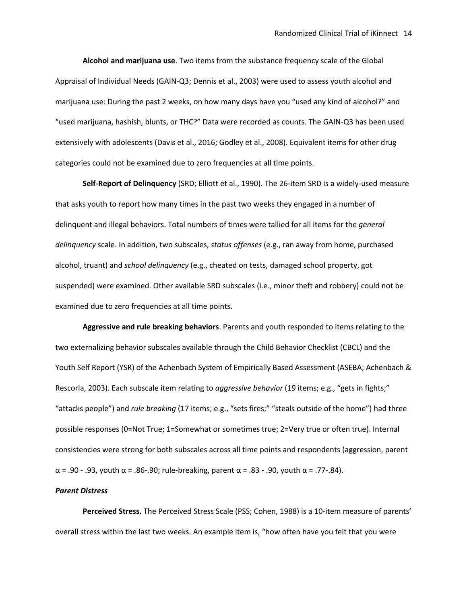**Alcohol and marijuana use**. Two items from the substance frequency scale of the Global Appraisal of Individual Needs (GAIN-Q3; Dennis et al., 2003) were used to assess youth alcohol and marijuana use: During the past 2 weeks, on how many days have you "used any kind of alcohol?" and "used marijuana, hashish, blunts, or THC?" Data were recorded as counts. The GAIN-Q3 has been used extensively with adolescents (Davis et al., 2016; Godley et al., 2008). Equivalent items for other drug categories could not be examined due to zero frequencies at all time points.

**Self-Report of Delinquency** (SRD; Elliott et al., 1990). The 26-item SRD is a widely-used measure that asks youth to report how many times in the past two weeks they engaged in a number of delinquent and illegal behaviors. Total numbers of times were tallied for all items for the *general delinquency* scale. In addition, two subscales, *status offenses* (e.g., ran away from home, purchased alcohol, truant) and *school delinquency* (e.g., cheated on tests, damaged school property, got suspended) were examined. Other available SRD subscales (i.e., minor theft and robbery) could not be examined due to zero frequencies at all time points.

**Aggressive and rule breaking behaviors**. Parents and youth responded to items relating to the two externalizing behavior subscales available through the Child Behavior Checklist (CBCL) and the Youth Self Report (YSR) of the Achenbach System of Empirically Based Assessment (ASEBA; Achenbach & Rescorla, 2003). Each subscale item relating to *aggressive behavior* (19 items; e.g., "gets in fights;" "attacks people") and *rule breaking* (17 items; e.g., "sets fires;" "steals outside of the home") had three possible responses (0=Not True; 1=Somewhat or sometimes true; 2=Very true or often true). Internal consistencies were strong for both subscales across all time points and respondents (aggression, parent α = .90 - .93, youth α = .86-.90; rule-breaking, parent α = .83 - .90, youth α = .77-.84).

#### *Parent Distress*

**Perceived Stress.** The Perceived Stress Scale (PSS; Cohen, 1988) is a 10-item measure of parents' overall stress within the last two weeks. An example item is, "how often have you felt that you were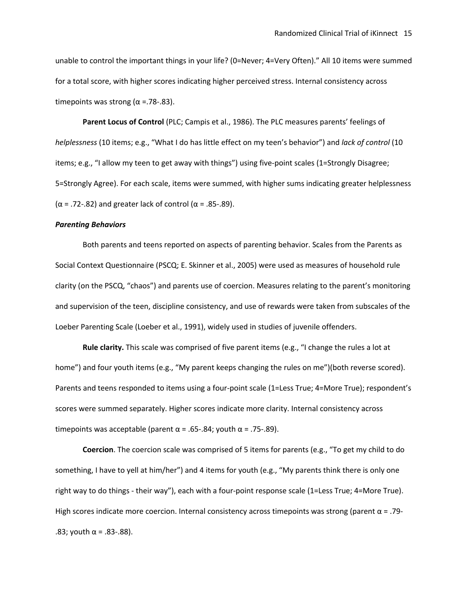unable to control the important things in your life? (0=Never; 4=Very Often)." All 10 items were summed for a total score, with higher scores indicating higher perceived stress. Internal consistency across timepoints was strong ( $\alpha$  =.78-.83).

**Parent Locus of Control** (PLC; Campis et al., 1986). The PLC measures parents' feelings of *helplessness* (10 items; e.g., "What I do has little effect on my teen's behavior") and *lack of control* (10 items; e.g., "I allow my teen to get away with things") using five-point scales (1=Strongly Disagree; 5=Strongly Agree). For each scale, items were summed, with higher sums indicating greater helplessness ( $\alpha$  = .72-.82) and greater lack of control ( $\alpha$  = .85-.89).

### *Parenting Behaviors*

Both parents and teens reported on aspects of parenting behavior. Scales from the Parents as Social Context Questionnaire (PSCQ; E. Skinner et al., 2005) were used as measures of household rule clarity (on the PSCQ, "chaos") and parents use of coercion. Measures relating to the parent's monitoring and supervision of the teen, discipline consistency, and use of rewards were taken from subscales of the Loeber Parenting Scale (Loeber et al., 1991), widely used in studies of juvenile offenders.

**Rule clarity.** This scale was comprised of five parent items (e.g., "I change the rules a lot at home") and four youth items (e.g., "My parent keeps changing the rules on me")(both reverse scored). Parents and teens responded to items using a four-point scale (1=Less True; 4=More True); respondent's scores were summed separately. Higher scores indicate more clarity. Internal consistency across timepoints was acceptable (parent  $\alpha$  = .65-.84; youth  $\alpha$  = .75-.89).

**Coercion**. The coercion scale was comprised of 5 items for parents (e.g., "To get my child to do something, I have to yell at him/her") and 4 items for youth (e.g., "My parents think there is only one right way to do things - their way"), each with a four-point response scale (1=Less True; 4=More True). High scores indicate more coercion. Internal consistency across timepoints was strong (parent  $\alpha$  = .79-.83; youth  $\alpha$  = .83-.88).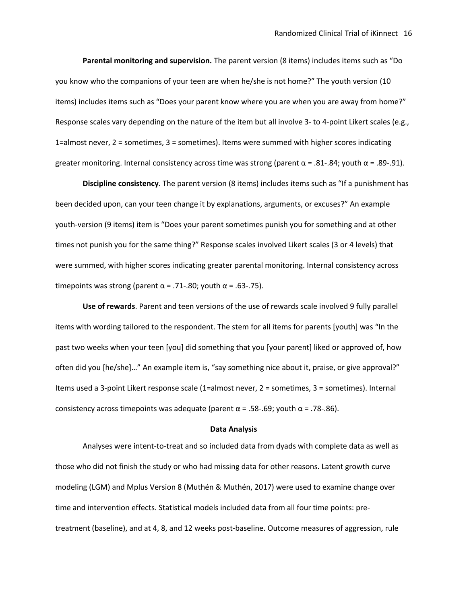**Parental monitoring and supervision.** The parent version (8 items) includes items such as "Do you know who the companions of your teen are when he/she is not home?" The youth version (10 items) includes items such as "Does your parent know where you are when you are away from home?" Response scales vary depending on the nature of the item but all involve 3- to 4-point Likert scales (e.g., 1=almost never, 2 = sometimes, 3 = sometimes). Items were summed with higher scores indicating greater monitoring. Internal consistency across time was strong (parent  $\alpha$  = .81-.84; youth  $\alpha$  = .89-.91).

**Discipline consistency**. The parent version (8 items) includes items such as "If a punishment has been decided upon, can your teen change it by explanations, arguments, or excuses?" An example youth-version (9 items) item is "Does your parent sometimes punish you for something and at other times not punish you for the same thing?" Response scales involved Likert scales (3 or 4 levels) that were summed, with higher scores indicating greater parental monitoring. Internal consistency across timepoints was strong (parent  $\alpha$  = .71-.80; youth  $\alpha$  = .63-.75).

**Use of rewards**. Parent and teen versions of the use of rewards scale involved 9 fully parallel items with wording tailored to the respondent. The stem for all items for parents [youth] was "In the past two weeks when your teen [you] did something that you [your parent] liked or approved of, how often did you [he/she]…" An example item is, "say something nice about it, praise, or give approval?" Items used a 3-point Likert response scale (1=almost never, 2 = sometimes, 3 = sometimes). Internal consistency across timepoints was adequate (parent  $\alpha$  = .58-.69; youth  $\alpha$  = .78-.86).

#### **Data Analysis**

Analyses were intent-to-treat and so included data from dyads with complete data as well as those who did not finish the study or who had missing data for other reasons. Latent growth curve modeling (LGM) and Mplus Version 8 (Muthén & Muthén, 2017) were used to examine change over time and intervention effects. Statistical models included data from all four time points: pretreatment (baseline), and at 4, 8, and 12 weeks post-baseline. Outcome measures of aggression, rule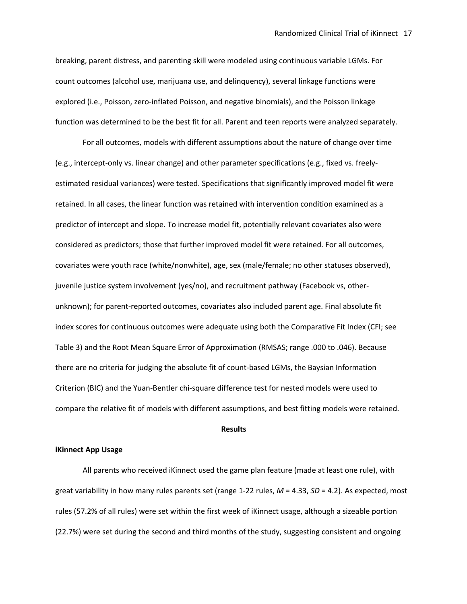breaking, parent distress, and parenting skill were modeled using continuous variable LGMs. For count outcomes (alcohol use, marijuana use, and delinquency), several linkage functions were explored (i.e., Poisson, zero-inflated Poisson, and negative binomials), and the Poisson linkage function was determined to be the best fit for all. Parent and teen reports were analyzed separately.

For all outcomes, models with different assumptions about the nature of change over time (e.g., intercept-only vs. linear change) and other parameter specifications (e.g., fixed vs. freelyestimated residual variances) were tested. Specifications that significantly improved model fit were retained. In all cases, the linear function was retained with intervention condition examined as a predictor of intercept and slope. To increase model fit, potentially relevant covariates also were considered as predictors; those that further improved model fit were retained. For all outcomes, covariates were youth race (white/nonwhite), age, sex (male/female; no other statuses observed), juvenile justice system involvement (yes/no), and recruitment pathway (Facebook vs, otherunknown); for parent-reported outcomes, covariates also included parent age. Final absolute fit index scores for continuous outcomes were adequate using both the Comparative Fit Index (CFI; see Table 3) and the Root Mean Square Error of Approximation (RMSAS; range .000 to .046). Because there are no criteria for judging the absolute fit of count-based LGMs, the Baysian Information Criterion (BIC) and the Yuan-Bentler chi-square difference test for nested models were used to compare the relative fit of models with different assumptions, and best fitting models were retained.

#### **Results**

## **iKinnect App Usage**

All parents who received iKinnect used the game plan feature (made at least one rule), with great variability in how many rules parents set (range 1-22 rules, *M* = 4.33, *SD* = 4.2). As expected, most rules (57.2% of all rules) were set within the first week of iKinnect usage, although a sizeable portion (22.7%) were set during the second and third months of the study, suggesting consistent and ongoing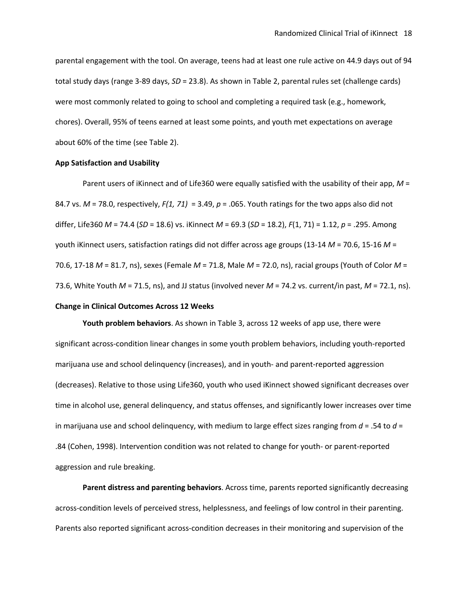parental engagement with the tool. On average, teens had at least one rule active on 44.9 days out of 94 total study days (range 3-89 days, *SD* = 23.8). As shown in Table 2, parental rules set (challenge cards) were most commonly related to going to school and completing a required task (e.g., homework, chores). Overall, 95% of teens earned at least some points, and youth met expectations on average about 60% of the time (see Table 2).

## **App Satisfaction and Usability**

Parent users of iKinnect and of Life360 were equally satisfied with the usability of their app, *M* = 84.7 vs. *M* = 78.0, respectively, *F(1, 71)* = 3.49, *p* = .065. Youth ratings for the two apps also did not differ, Life360 *M* = 74.4 (*SD* = 18.6) vs. iKinnect *M* = 69.3 (*SD* = 18.2), *F*(1, 71) = 1.12, *p* = .295. Among youth iKinnect users, satisfaction ratings did not differ across age groups (13-14 *M* = 70.6, 15-16 *M* = 70.6, 17-18 *M* = 81.7, ns), sexes (Female *M* = 71.8, Male *M* = 72.0, ns), racial groups (Youth of Color *M* = 73.6, White Youth *M* = 71.5, ns), and JJ status (involved never *M* = 74.2 vs. current/in past, *M* = 72.1, ns). **Change in Clinical Outcomes Across 12 Weeks**

**Youth problem behaviors**. As shown in Table 3, across 12 weeks of app use, there were significant across-condition linear changes in some youth problem behaviors, including youth-reported marijuana use and school delinquency (increases), and in youth- and parent-reported aggression (decreases). Relative to those using Life360, youth who used iKinnect showed significant decreases over time in alcohol use, general delinquency, and status offenses, and significantly lower increases over time in marijuana use and school delinquency, with medium to large effect sizes ranging from *d* = .54 to *d* = .84 (Cohen, 1998). Intervention condition was not related to change for youth- or parent-reported aggression and rule breaking.

**Parent distress and parenting behaviors**. Across time, parents reported significantly decreasing across-condition levels of perceived stress, helplessness, and feelings of low control in their parenting. Parents also reported significant across-condition decreases in their monitoring and supervision of the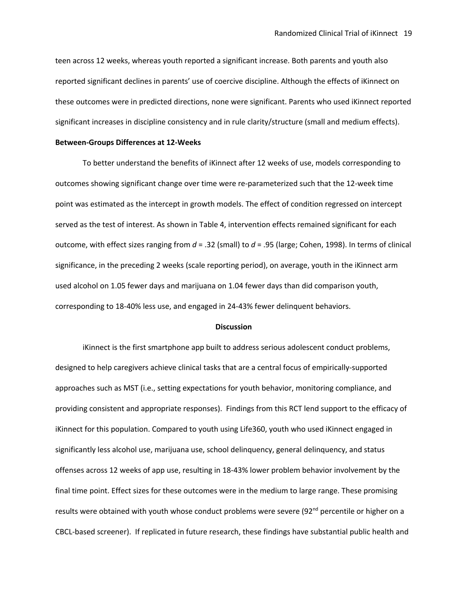teen across 12 weeks, whereas youth reported a significant increase. Both parents and youth also reported significant declines in parents' use of coercive discipline. Although the effects of iKinnect on these outcomes were in predicted directions, none were significant. Parents who used iKinnect reported significant increases in discipline consistency and in rule clarity/structure (small and medium effects).

#### **Between-Groups Differences at 12-Weeks**

To better understand the benefits of iKinnect after 12 weeks of use, models corresponding to outcomes showing significant change over time were re-parameterized such that the 12-week time point was estimated as the intercept in growth models. The effect of condition regressed on intercept served as the test of interest. As shown in Table 4, intervention effects remained significant for each outcome, with effect sizes ranging from *d* = .32 (small) to *d* = .95 (large; Cohen, 1998). In terms of clinical significance, in the preceding 2 weeks (scale reporting period), on average, youth in the iKinnect arm used alcohol on 1.05 fewer days and marijuana on 1.04 fewer days than did comparison youth, corresponding to 18-40% less use, and engaged in 24-43% fewer delinquent behaviors.

#### **Discussion**

iKinnect is the first smartphone app built to address serious adolescent conduct problems, designed to help caregivers achieve clinical tasks that are a central focus of empirically-supported approaches such as MST (i.e., setting expectations for youth behavior, monitoring compliance, and providing consistent and appropriate responses). Findings from this RCT lend support to the efficacy of iKinnect for this population. Compared to youth using Life360, youth who used iKinnect engaged in significantly less alcohol use, marijuana use, school delinquency, general delinquency, and status offenses across 12 weeks of app use, resulting in 18-43% lower problem behavior involvement by the final time point. Effect sizes for these outcomes were in the medium to large range. These promising results were obtained with youth whose conduct problems were severe ( $92<sup>nd</sup>$  percentile or higher on a CBCL-based screener). If replicated in future research, these findings have substantial public health and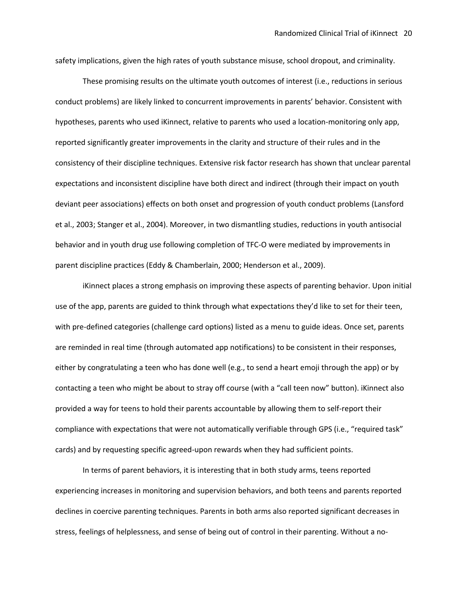safety implications, given the high rates of youth substance misuse, school dropout, and criminality.

These promising results on the ultimate youth outcomes of interest (i.e., reductions in serious conduct problems) are likely linked to concurrent improvements in parents' behavior. Consistent with hypotheses, parents who used iKinnect, relative to parents who used a location-monitoring only app, reported significantly greater improvements in the clarity and structure of their rules and in the consistency of their discipline techniques. Extensive risk factor research has shown that unclear parental expectations and inconsistent discipline have both direct and indirect (through their impact on youth deviant peer associations) effects on both onset and progression of youth conduct problems (Lansford et al., 2003; Stanger et al., 2004). Moreover, in two dismantling studies, reductions in youth antisocial behavior and in youth drug use following completion of TFC-O were mediated by improvements in parent discipline practices (Eddy & Chamberlain, 2000; Henderson et al., 2009).

iKinnect places a strong emphasis on improving these aspects of parenting behavior. Upon initial use of the app, parents are guided to think through what expectations they'd like to set for their teen, with pre-defined categories (challenge card options) listed as a menu to guide ideas. Once set, parents are reminded in real time (through automated app notifications) to be consistent in their responses, either by congratulating a teen who has done well (e.g., to send a heart emoji through the app) or by contacting a teen who might be about to stray off course (with a "call teen now" button). iKinnect also provided a way for teens to hold their parents accountable by allowing them to self-report their compliance with expectations that were not automatically verifiable through GPS (i.e., "required task" cards) and by requesting specific agreed-upon rewards when they had sufficient points.

In terms of parent behaviors, it is interesting that in both study arms, teens reported experiencing increases in monitoring and supervision behaviors, and both teens and parents reported declines in coercive parenting techniques. Parents in both arms also reported significant decreases in stress, feelings of helplessness, and sense of being out of control in their parenting. Without a no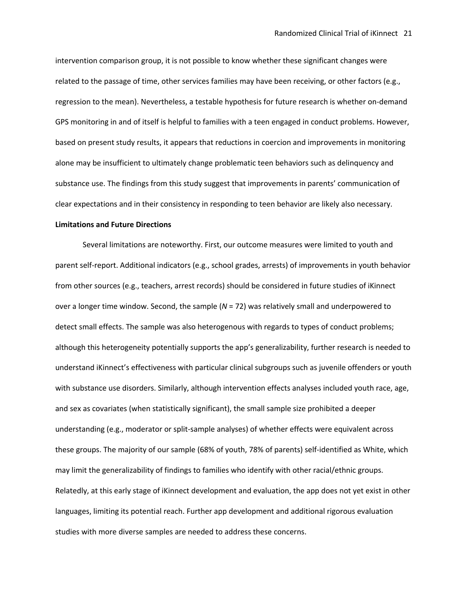intervention comparison group, it is not possible to know whether these significant changes were related to the passage of time, other services families may have been receiving, or other factors (e.g., regression to the mean). Nevertheless, a testable hypothesis for future research is whether on-demand GPS monitoring in and of itself is helpful to families with a teen engaged in conduct problems. However, based on present study results, it appears that reductions in coercion and improvements in monitoring alone may be insufficient to ultimately change problematic teen behaviors such as delinquency and substance use. The findings from this study suggest that improvements in parents' communication of clear expectations and in their consistency in responding to teen behavior are likely also necessary.

### **Limitations and Future Directions**

Several limitations are noteworthy. First, our outcome measures were limited to youth and parent self-report. Additional indicators (e.g., school grades, arrests) of improvements in youth behavior from other sources (e.g., teachers, arrest records) should be considered in future studies of iKinnect over a longer time window. Second, the sample (*N* = 72) was relatively small and underpowered to detect small effects. The sample was also heterogenous with regards to types of conduct problems; although this heterogeneity potentially supports the app's generalizability, further research is needed to understand iKinnect's effectiveness with particular clinical subgroups such as juvenile offenders or youth with substance use disorders. Similarly, although intervention effects analyses included youth race, age, and sex as covariates (when statistically significant), the small sample size prohibited a deeper understanding (e.g., moderator or split-sample analyses) of whether effects were equivalent across these groups. The majority of our sample (68% of youth, 78% of parents) self-identified as White, which may limit the generalizability of findings to families who identify with other racial/ethnic groups. Relatedly, at this early stage of iKinnect development and evaluation, the app does not yet exist in other languages, limiting its potential reach. Further app development and additional rigorous evaluation studies with more diverse samples are needed to address these concerns.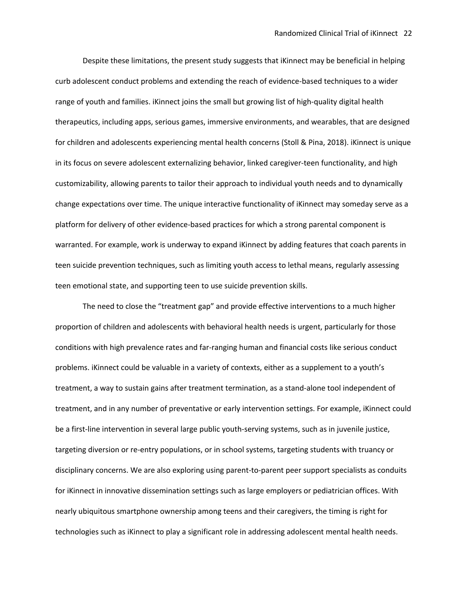Despite these limitations, the present study suggests that iKinnect may be beneficial in helping curb adolescent conduct problems and extending the reach of evidence-based techniques to a wider range of youth and families. iKinnect joins the small but growing list of high-quality digital health therapeutics, including apps, serious games, immersive environments, and wearables, that are designed for children and adolescents experiencing mental health concerns (Stoll & Pina, 2018). iKinnect is unique in its focus on severe adolescent externalizing behavior, linked caregiver-teen functionality, and high customizability, allowing parents to tailor their approach to individual youth needs and to dynamically change expectations over time. The unique interactive functionality of iKinnect may someday serve as a platform for delivery of other evidence-based practices for which a strong parental component is warranted. For example, work is underway to expand iKinnect by adding features that coach parents in teen suicide prevention techniques, such as limiting youth access to lethal means, regularly assessing teen emotional state, and supporting teen to use suicide prevention skills.

The need to close the "treatment gap" and provide effective interventions to a much higher proportion of children and adolescents with behavioral health needs is urgent, particularly for those conditions with high prevalence rates and far-ranging human and financial costs like serious conduct problems. iKinnect could be valuable in a variety of contexts, either as a supplement to a youth's treatment, a way to sustain gains after treatment termination, as a stand-alone tool independent of treatment, and in any number of preventative or early intervention settings. For example, iKinnect could be a first-line intervention in several large public youth-serving systems, such as in juvenile justice, targeting diversion or re-entry populations, or in school systems, targeting students with truancy or disciplinary concerns. We are also exploring using parent-to-parent peer support specialists as conduits for iKinnect in innovative dissemination settings such as large employers or pediatrician offices. With nearly ubiquitous smartphone ownership among teens and their caregivers, the timing is right for technologies such as iKinnect to play a significant role in addressing adolescent mental health needs.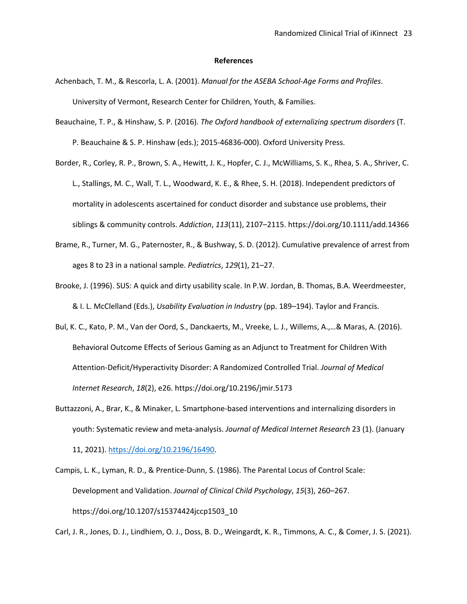#### **References**

- Achenbach, T. M., & Rescorla, L. A. (2001). *Manual for the ASEBA School-Age Forms and Profiles*. University of Vermont, Research Center for Children, Youth, & Families.
- Beauchaine, T. P., & Hinshaw, S. P. (2016). *The Oxford handbook of externalizing spectrum disorders* (T. P. Beauchaine & S. P. Hinshaw (eds.); 2015-46836-000). Oxford University Press.
- Border, R., Corley, R. P., Brown, S. A., Hewitt, J. K., Hopfer, C. J., McWilliams, S. K., Rhea, S. A., Shriver, C. L., Stallings, M. C., Wall, T. L., Woodward, K. E., & Rhee, S. H. (2018). Independent predictors of mortality in adolescents ascertained for conduct disorder and substance use problems, their siblings & community controls. *Addiction*, *113*(11), 2107–2115. https://doi.org/10.1111/add.14366
- Brame, R., Turner, M. G., Paternoster, R., & Bushway, S. D. (2012). Cumulative prevalence of arrest from ages 8 to 23 in a national sample. *Pediatrics*, *129*(1), 21–27.
- Brooke, J. (1996). SUS: A quick and dirty usability scale. In P.W. Jordan, B. Thomas, B.A. Weerdmeester, & I. L. McClelland (Eds.), *Usability Evaluation in Industry* (pp. 189–194). Taylor and Francis.
- Bul, K. C., Kato, P. M., Van der Oord, S., Danckaerts, M., Vreeke, L. J., Willems, A.,…& Maras, A. (2016). Behavioral Outcome Effects of Serious Gaming as an Adjunct to Treatment for Children With Attention-Deficit/Hyperactivity Disorder: A Randomized Controlled Trial. *Journal of Medical Internet Research*, *18*(2), e26. https://doi.org/10.2196/jmir.5173
- Buttazzoni, A., Brar, K., & Minaker, L. Smartphone-based interventions and internalizing disorders in youth: Systematic review and meta-analysis. *Journal of Medical Internet Research* 23 (1). (January 11, 2021). https://doi.org/10.2196/16490.
- Campis, L. K., Lyman, R. D., & Prentice-Dunn, S. (1986). The Parental Locus of Control Scale: Development and Validation. *Journal of Clinical Child Psychology*, *15*(3), 260–267. https://doi.org/10.1207/s15374424jccp1503\_10

Carl, J. R., Jones, D. J., Lindhiem, O. J., Doss, B. D., Weingardt, K. R., Timmons, A. C., & Comer, J. S. (2021).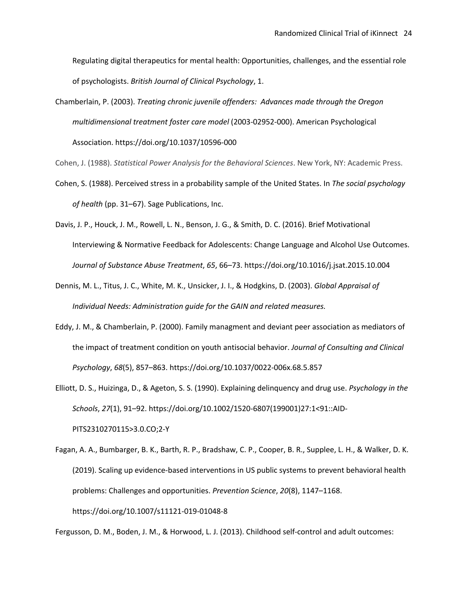Regulating digital therapeutics for mental health: Opportunities, challenges, and the essential role of psychologists. *British Journal of Clinical Psychology*, 1.

Chamberlain, P. (2003). *Treating chronic juvenile offenders: Advances made through the Oregon multidimensional treatment foster care model* (2003-02952-000). American Psychological Association. https://doi.org/10.1037/10596-000

Cohen, J. (1988). *Statistical Power Analysis for the Behavioral Sciences*. New York, NY: Academic Press.

- Cohen, S. (1988). Perceived stress in a probability sample of the United States. In *The social psychology of health* (pp. 31–67). Sage Publications, Inc.
- Davis, J. P., Houck, J. M., Rowell, L. N., Benson, J. G., & Smith, D. C. (2016). Brief Motivational Interviewing & Normative Feedback for Adolescents: Change Language and Alcohol Use Outcomes. *Journal of Substance Abuse Treatment*, *65*, 66–73. https://doi.org/10.1016/j.jsat.2015.10.004
- Dennis, M. L., Titus, J. C., White, M. K., Unsicker, J. I., & Hodgkins, D. (2003). *Global Appraisal of Individual Needs: Administration guide for the GAIN and related measures.*
- Eddy, J. M., & Chamberlain, P. (2000). Family managment and deviant peer association as mediators of the impact of treatment condition on youth antisocial behavior. *Journal of Consulting and Clinical Psychology*, *68*(5), 857–863. https://doi.org/10.1037/0022-006x.68.5.857
- Elliott, D. S., Huizinga, D., & Ageton, S. S. (1990). Explaining delinquency and drug use. *Psychology in the Schools*, *27*(1), 91–92. https://doi.org/10.1002/1520-6807(199001)27:1<91::AID-PITS2310270115>3.0.CO;2-Y
- Fagan, A. A., Bumbarger, B. K., Barth, R. P., Bradshaw, C. P., Cooper, B. R., Supplee, L. H., & Walker, D. K. (2019). Scaling up evidence-based interventions in US public systems to prevent behavioral health problems: Challenges and opportunities. *Prevention Science*, *20*(8), 1147–1168. https://doi.org/10.1007/s11121-019-01048-8

Fergusson, D. M., Boden, J. M., & Horwood, L. J. (2013). Childhood self-control and adult outcomes: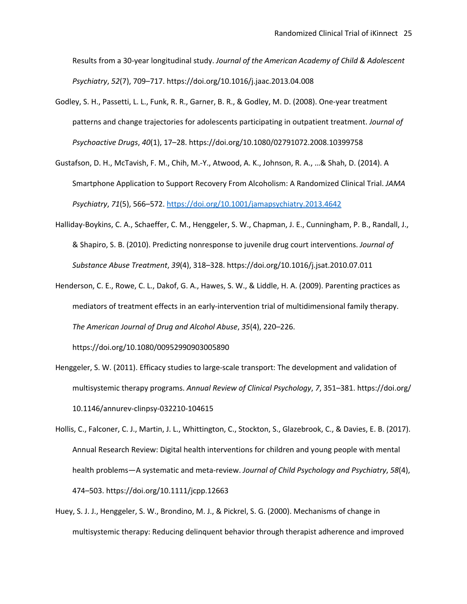Results from a 30-year longitudinal study. *Journal of the American Academy of Child & Adolescent Psychiatry*, *52*(7), 709–717. https://doi.org/10.1016/j.jaac.2013.04.008

- Godley, S. H., Passetti, L. L., Funk, R. R., Garner, B. R., & Godley, M. D. (2008). One-year treatment patterns and change trajectories for adolescents participating in outpatient treatment. *Journal of Psychoactive Drugs*, *40*(1), 17–28. https://doi.org/10.1080/02791072.2008.10399758
- Gustafson, D. H., McTavish, F. M., Chih, M.-Y., Atwood, A. K., Johnson, R. A., …& Shah, D. (2014). A Smartphone Application to Support Recovery From Alcoholism: A Randomized Clinical Trial. *JAMA Psychiatry*, *71*(5), 566–572. https://doi.org/10.1001/jamapsychiatry.2013.4642
- Halliday-Boykins, C. A., Schaeffer, C. M., Henggeler, S. W., Chapman, J. E., Cunningham, P. B., Randall, J., & Shapiro, S. B. (2010). Predicting nonresponse to juvenile drug court interventions. *Journal of Substance Abuse Treatment*, *39*(4), 318–328. https://doi.org/10.1016/j.jsat.2010.07.011
- Henderson, C. E., Rowe, C. L., Dakof, G. A., Hawes, S. W., & Liddle, H. A. (2009). Parenting practices as mediators of treatment effects in an early-intervention trial of multidimensional family therapy. *The American Journal of Drug and Alcohol Abuse*, *35*(4), 220–226.

https://doi.org/10.1080/00952990903005890

- Henggeler, S. W. (2011). Efficacy studies to large-scale transport: The development and validation of multisystemic therapy programs. *Annual Review of Clinical Psychology*, *7*, 351–381. https://doi.org/ 10.1146/annurev-clinpsy-032210-104615
- Hollis, C., Falconer, C. J., Martin, J. L., Whittington, C., Stockton, S., Glazebrook, C., & Davies, E. B. (2017). Annual Research Review: Digital health interventions for children and young people with mental health problems—A systematic and meta-review. *Journal of Child Psychology and Psychiatry*, *58*(4), 474–503. https://doi.org/10.1111/jcpp.12663
- Huey, S. J. J., Henggeler, S. W., Brondino, M. J., & Pickrel, S. G. (2000). Mechanisms of change in multisystemic therapy: Reducing delinquent behavior through therapist adherence and improved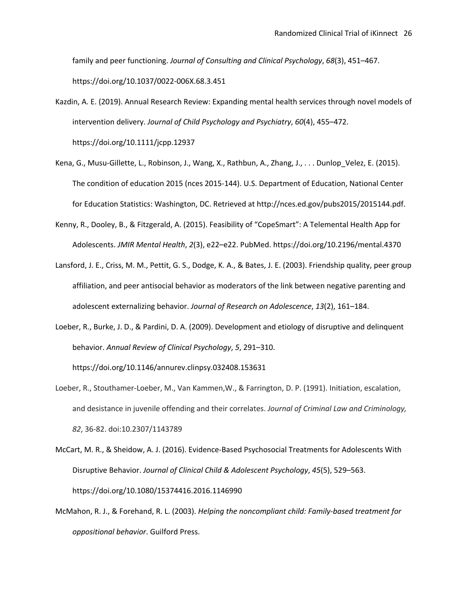family and peer functioning. *Journal of Consulting and Clinical Psychology*, *68*(3), 451–467.

https://doi.org/10.1037/0022-006X.68.3.451

- Kazdin, A. E. (2019). Annual Research Review: Expanding mental health services through novel models of intervention delivery. *Journal of Child Psychology and Psychiatry*, *60*(4), 455–472. https://doi.org/10.1111/jcpp.12937
- Kena, G., Musu-Gillette, L., Robinson, J., Wang, X., Rathbun, A., Zhang, J., . . . Dunlop\_Velez, E. (2015). The condition of education 2015 (nces 2015-144). U.S. Department of Education, National Center for Education Statistics: Washington, DC. Retrieved at http://nces.ed.gov/pubs2015/2015144.pdf.
- Kenny, R., Dooley, B., & Fitzgerald, A. (2015). Feasibility of "CopeSmart": A Telemental Health App for Adolescents. *JMIR Mental Health*, *2*(3), e22–e22. PubMed. https://doi.org/10.2196/mental.4370
- Lansford, J. E., Criss, M. M., Pettit, G. S., Dodge, K. A., & Bates, J. E. (2003). Friendship quality, peer group affiliation, and peer antisocial behavior as moderators of the link between negative parenting and adolescent externalizing behavior. *Journal of Research on Adolescence*, *13*(2), 161–184.
- Loeber, R., Burke, J. D., & Pardini, D. A. (2009). Development and etiology of disruptive and delinquent behavior. *Annual Review of Clinical Psychology*, *5*, 291–310.

https://doi.org/10.1146/annurev.clinpsy.032408.153631

- Loeber, R., Stouthamer-Loeber, M., Van Kammen,W., & Farrington, D. P. (1991). Initiation, escalation, and desistance in juvenile offending and their correlates. *Journal of Criminal Law and Criminology, 82*, 36-82. doi:10.2307/1143789
- McCart, M. R., & Sheidow, A. J. (2016). Evidence-Based Psychosocial Treatments for Adolescents With Disruptive Behavior. *Journal of Clinical Child & Adolescent Psychology*, *45*(5), 529–563. https://doi.org/10.1080/15374416.2016.1146990
- McMahon, R. J., & Forehand, R. L. (2003). *Helping the noncompliant child: Family-based treatment for oppositional behavior*. Guilford Press.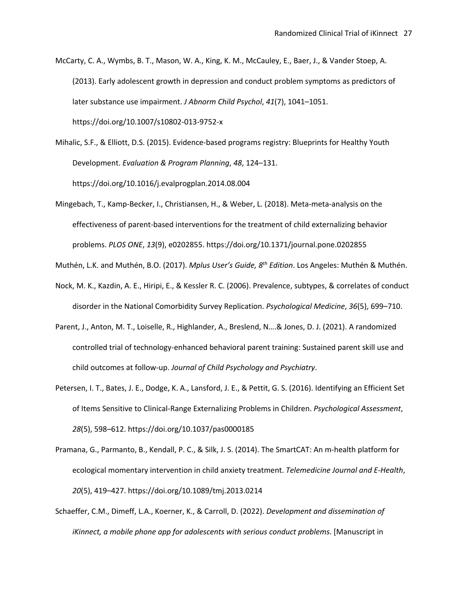McCarty, C. A., Wymbs, B. T., Mason, W. A., King, K. M., McCauley, E., Baer, J., & Vander Stoep, A. (2013). Early adolescent growth in depression and conduct problem symptoms as predictors of later substance use impairment. *J Abnorm Child Psychol*, *41*(7), 1041–1051. https://doi.org/10.1007/s10802-013-9752-x

Mihalic, S.F., & Elliott, D.S. (2015). Evidence-based programs registry: Blueprints for Healthy Youth Development. *Evaluation & Program Planning*, *48*, 124–131. https://doi.org/10.1016/j.evalprogplan.2014.08.004

Mingebach, T., Kamp-Becker, I., Christiansen, H., & Weber, L. (2018). Meta-meta-analysis on the effectiveness of parent-based interventions for the treatment of child externalizing behavior problems. *PLOS ONE*, *13*(9), e0202855. https://doi.org/10.1371/journal.pone.0202855

Muthén, L.K. and Muthén, B.O. (2017). *Mplus User's Guide, 8th Edition*. Los Angeles: Muthén & Muthén.

- Nock, M. K., Kazdin, A. E., Hiripi, E., & Kessler R. C. (2006). Prevalence, subtypes, & correlates of conduct disorder in the National Comorbidity Survey Replication. *Psychological Medicine*, *36*(5), 699–710.
- Parent, J., Anton, M. T., Loiselle, R., Highlander, A., Breslend, N….& Jones, D. J. (2021). A randomized controlled trial of technology-enhanced behavioral parent training: Sustained parent skill use and child outcomes at follow-up. *Journal of Child Psychology and Psychiatry*.
- Petersen, I. T., Bates, J. E., Dodge, K. A., Lansford, J. E., & Pettit, G. S. (2016). Identifying an Efficient Set of Items Sensitive to Clinical-Range Externalizing Problems in Children. *Psychological Assessment*, *28*(5), 598–612. https://doi.org/10.1037/pas0000185
- Pramana, G., Parmanto, B., Kendall, P. C., & Silk, J. S. (2014). The SmartCAT: An m-health platform for ecological momentary intervention in child anxiety treatment. *Telemedicine Journal and E-Health*, *20*(5), 419–427. https://doi.org/10.1089/tmj.2013.0214
- Schaeffer, C.M., Dimeff, L.A., Koerner, K., & Carroll, D. (2022). *Development and dissemination of iKinnect, a mobile phone app for adolescents with serious conduct problems*. [Manuscript in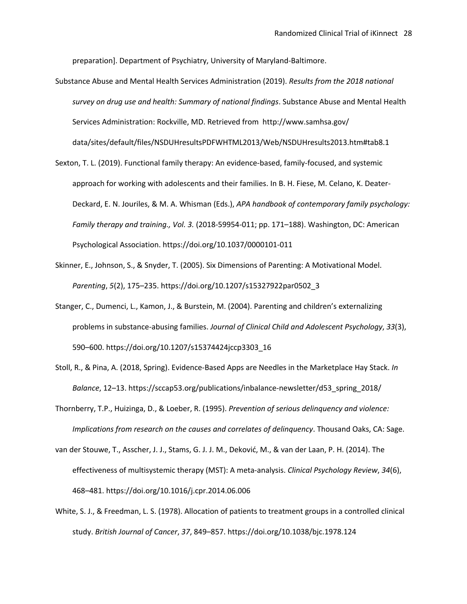preparation]. Department of Psychiatry, University of Maryland-Baltimore.

- Substance Abuse and Mental Health Services Administration (2019). *Results from the 2018 national survey on drug use and health: Summary of national findings*. Substance Abuse and Mental Health Services Administration: Rockville, MD. Retrieved from http://www.samhsa.gov/ data/sites/default/files/NSDUHresultsPDFWHTML2013/Web/NSDUHresults2013.htm#tab8.1
- Sexton, T. L. (2019). Functional family therapy: An evidence-based, family-focused, and systemic approach for working with adolescents and their families. In B. H. Fiese, M. Celano, K. Deater-Deckard, E. N. Jouriles, & M. A. Whisman (Eds.), *APA handbook of contemporary family psychology: Family therapy and training., Vol. 3.* (2018-59954-011; pp. 171–188). Washington, DC: American Psychological Association. https://doi.org/10.1037/0000101-011
- Skinner, E., Johnson, S., & Snyder, T. (2005). Six Dimensions of Parenting: A Motivational Model. *Parenting*, *5*(2), 175–235. https://doi.org/10.1207/s15327922par0502\_3
- Stanger, C., Dumenci, L., Kamon, J., & Burstein, M. (2004). Parenting and children's externalizing problems in substance-abusing families. *Journal of Clinical Child and Adolescent Psychology*, *33*(3), 590–600. https://doi.org/10.1207/s15374424jccp3303\_16
- Stoll, R., & Pina, A. (2018, Spring). Evidence-Based Apps are Needles in the Marketplace Hay Stack. *In Balance*, 12–13. https://sccap53.org/publications/inbalance-newsletter/d53\_spring\_2018/
- Thornberry, T.P., Huizinga, D., & Loeber, R. (1995). *Prevention of serious delinquency and violence: Implications from research on the causes and correlates of delinquency*. Thousand Oaks, CA: Sage.
- van der Stouwe, T., Asscher, J. J., Stams, G. J. J. M., Deković, M., & van der Laan, P. H. (2014). The effectiveness of multisystemic therapy (MST): A meta-analysis. *Clinical Psychology Review*, *34*(6), 468–481. https://doi.org/10.1016/j.cpr.2014.06.006
- White, S. J., & Freedman, L. S. (1978). Allocation of patients to treatment groups in a controlled clinical study. *British Journal of Cancer*, *37*, 849–857. https://doi.org/10.1038/bjc.1978.124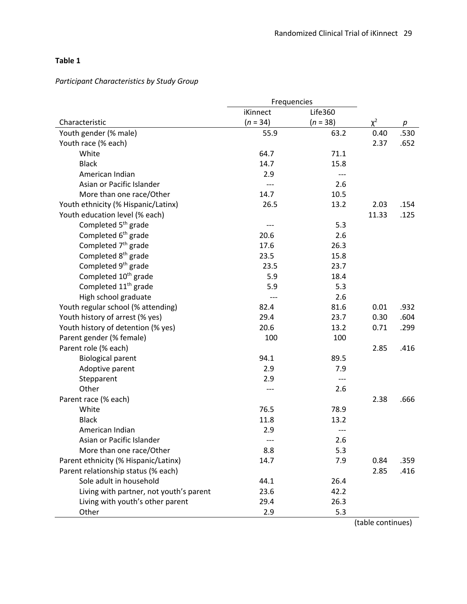# **Table 1**

# *Participant Characteristics by Study Group*

|                                         | Frequencies |            |          |      |
|-----------------------------------------|-------------|------------|----------|------|
|                                         | iKinnect    | Life360    |          |      |
| Characteristic                          | $(n = 34)$  | $(n = 38)$ | $\chi^2$ | р    |
| Youth gender (% male)                   | 55.9        | 63.2       | 0.40     | .530 |
| Youth race (% each)                     |             |            | 2.37     | .652 |
| White                                   | 64.7        | 71.1       |          |      |
| <b>Black</b>                            | 14.7        | 15.8       |          |      |
| American Indian                         | 2.9         | $---$      |          |      |
| Asian or Pacific Islander               | $---$       | 2.6        |          |      |
| More than one race/Other                | 14.7        | 10.5       |          |      |
| Youth ethnicity (% Hispanic/Latinx)     | 26.5        | 13.2       | 2.03     | .154 |
| Youth education level (% each)          |             |            | 11.33    | .125 |
| Completed 5 <sup>th</sup> grade         | ---         | 5.3        |          |      |
| Completed 6 <sup>th</sup> grade         | 20.6        | 2.6        |          |      |
| Completed 7 <sup>th</sup> grade         | 17.6        | 26.3       |          |      |
| Completed 8 <sup>th</sup> grade         | 23.5        | 15.8       |          |      |
| Completed 9 <sup>th</sup> grade         | 23.5        | 23.7       |          |      |
| Completed 10 <sup>th</sup> grade        | 5.9         | 18.4       |          |      |
| Completed 11 <sup>th</sup> grade        | 5.9         | 5.3        |          |      |
| High school graduate                    | $---$       | 2.6        |          |      |
| Youth regular school (% attending)      | 82.4        | 81.6       | 0.01     | .932 |
| Youth history of arrest (% yes)         | 29.4        | 23.7       | 0.30     | .604 |
| Youth history of detention (% yes)      | 20.6        | 13.2       | 0.71     | .299 |
| Parent gender (% female)                | 100         | 100        |          |      |
| Parent role (% each)                    |             |            | 2.85     | .416 |
| <b>Biological parent</b>                | 94.1        | 89.5       |          |      |
| Adoptive parent                         | 2.9         | 7.9        |          |      |
| Stepparent                              | 2.9         | $---$      |          |      |
| Other                                   | ---         | 2.6        |          |      |
| Parent race (% each)                    |             |            | 2.38     | .666 |
| White                                   | 76.5        | 78.9       |          |      |
| <b>Black</b>                            | 11.8        | 13.2       |          |      |
| American Indian                         | 2.9         |            |          |      |
| Asian or Pacific Islander               |             | 2.6        |          |      |
| More than one race/Other                | 8.8         | 5.3        |          |      |
| Parent ethnicity (% Hispanic/Latinx)    | 14.7        | 7.9        | 0.84     | .359 |
| Parent relationship status (% each)     |             |            | 2.85     | .416 |
| Sole adult in household                 | 44.1        | 26.4       |          |      |
| Living with partner, not youth's parent | 23.6        | 42.2       |          |      |
| Living with youth's other parent        | 29.4        | 26.3       |          |      |
| Other                                   | 2.9         | 5.3        |          |      |
|                                         |             |            |          |      |

(table continues)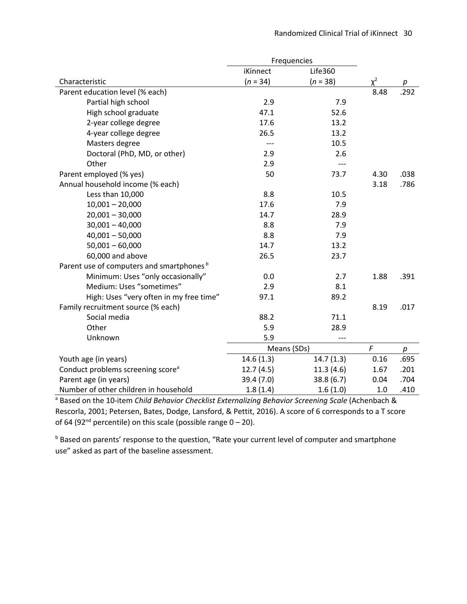|                                                      | Frequencies |                |          |      |
|------------------------------------------------------|-------------|----------------|----------|------|
|                                                      | iKinnect    | <b>Life360</b> |          |      |
| Characteristic                                       | $(n = 34)$  | $(n = 38)$     | $\chi^2$ | р    |
| Parent education level (% each)                      |             |                | 8.48     | .292 |
| Partial high school                                  | 2.9         | 7.9            |          |      |
| High school graduate                                 | 47.1        | 52.6           |          |      |
| 2-year college degree                                | 17.6        | 13.2           |          |      |
| 4-year college degree                                | 26.5        | 13.2           |          |      |
| Masters degree                                       | $---$       | 10.5           |          |      |
| Doctoral (PhD, MD, or other)                         | 2.9         | 2.6            |          |      |
| Other                                                | 2.9         | ---            |          |      |
| Parent employed (% yes)                              | 50          | 73.7           | 4.30     | .038 |
| Annual household income (% each)                     |             |                | 3.18     | .786 |
| Less than 10,000                                     | 8.8         | 10.5           |          |      |
| $10,001 - 20,000$                                    | 17.6        | 7.9            |          |      |
| $20,001 - 30,000$                                    | 14.7        | 28.9           |          |      |
| $30,001 - 40,000$                                    | 8.8         | 7.9            |          |      |
| $40,001 - 50,000$                                    | 8.8         | 7.9            |          |      |
| $50,001 - 60,000$                                    | 14.7        | 13.2           |          |      |
| 60,000 and above                                     | 26.5        | 23.7           |          |      |
| Parent use of computers and smartphones <sup>b</sup> |             |                |          |      |
| Minimum: Uses "only occasionally"                    | 0.0         | 2.7            | 1.88     | .391 |
| Medium: Uses "sometimes"                             | 2.9         | 8.1            |          |      |
| High: Uses "very often in my free time"              | 97.1        | 89.2           |          |      |
| Family recruitment source (% each)                   |             |                | 8.19     | .017 |
| Social media                                         | 88.2        | 71.1           |          |      |
| Other                                                | 5.9         | 28.9           |          |      |
| Unknown                                              | 5.9         |                |          |      |
|                                                      | Means (SDs) | F              | p        |      |
| Youth age (in years)                                 | 14.6(1.3)   | 14.7(1.3)      | 0.16     | .695 |
| Conduct problems screening score <sup>a</sup>        | 12.7(4.5)   | 11.3(4.6)      | 1.67     | .201 |
| Parent age (in years)                                | 39.4 (7.0)  | 38.8(6.7)      | 0.04     | .704 |
| Number of other children in household                | 1.8(1.4)    | 1.6(1.0)       | 1.0      | .410 |

<sup>a</sup> Based on the 10-item *Child Behavior Checklist Externalizing Behavior Screening Scale* (Achenbach & Rescorla, 2001; Petersen, Bates, Dodge, Lansford, & Pettit, 2016). A score of 6 corresponds to a T score of 64 (92<sup>nd</sup> percentile) on this scale (possible range  $0 - 20$ ).

b Based on parents' response to the question, "Rate your current level of computer and smartphone use" asked as part of the baseline assessment.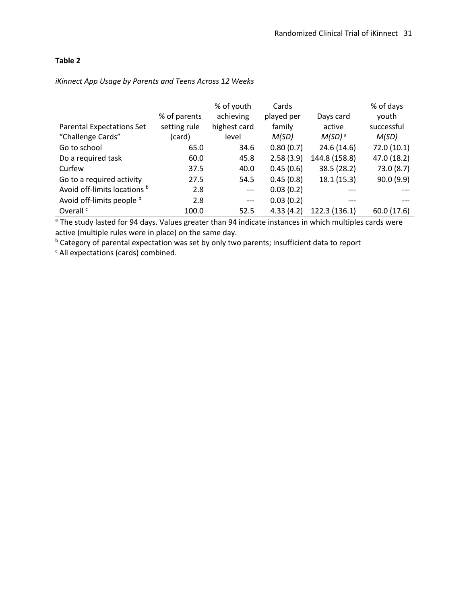# **Table 2**

|                                  |              | % of youth   | Cards      |                    | % of days   |
|----------------------------------|--------------|--------------|------------|--------------------|-------------|
|                                  | % of parents | achieving    | played per | Days card          | youth       |
| <b>Parental Expectations Set</b> | setting rule | highest card | family     | active             | successful  |
| "Challenge Cards"                | (card)       | level        | M(SD)      | M(SD) <sup>a</sup> | M(SD)       |
| Go to school                     | 65.0         | 34.6         | 0.80(0.7)  | 24.6(14.6)         | 72.0 (10.1) |
| Do a required task               | 60.0         | 45.8         | 2.58(3.9)  | 144.8 (158.8)      | 47.0 (18.2) |
| Curfew                           | 37.5         | 40.0         | 0.45(0.6)  | 38.5 (28.2)        | 73.0(8.7)   |
| Go to a required activity        | 27.5         | 54.5         | 0.45(0.8)  | 18.1(15.3)         | 90.0(9.9)   |
| Avoid off-limits locations b     | 2.8          | $---$        | 0.03(0.2)  |                    |             |
| Avoid off-limits people b        | 2.8          | $---$        | 0.03(0.2)  | $---$              |             |
| Overall <sup>c</sup>             | 100.0        | 52.5         | 4.33(4.2)  | 122.3 (136.1)      | 60.0 (17.6) |

# *iKinnect App Usage by Parents and Teens Across 12 Weeks*

<sup>a</sup> The study lasted for 94 days. Values greater than 94 indicate instances in which multiples cards were active (multiple rules were in place) on the same day.

**b** Category of parental expectation was set by only two parents; insufficient data to report

<sup>c</sup> All expectations (cards) combined.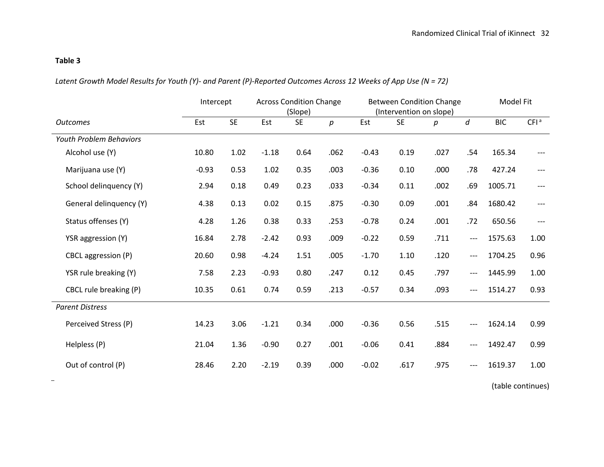# **Table 3**

*Latent Growth Model Results for Youth (Y)- and Parent (P)-Reported Outcomes Across 12 Weeks of App Use (N = 72)*

|                                | Intercept |           | <b>Across Condition Change</b><br>(Slope) |           | <b>Between Condition Change</b><br>(Intervention on slope) |         |           |      | Model Fit |            |                  |
|--------------------------------|-----------|-----------|-------------------------------------------|-----------|------------------------------------------------------------|---------|-----------|------|-----------|------------|------------------|
| <b>Outcomes</b>                | Est       | <b>SE</b> | Est                                       | <b>SE</b> | $p_{\parallel}$                                            | Est     | <b>SE</b> | р    | d         | <b>BIC</b> | CFI <sup>a</sup> |
| <b>Youth Problem Behaviors</b> |           |           |                                           |           |                                                            |         |           |      |           |            |                  |
| Alcohol use (Y)                | 10.80     | 1.02      | $-1.18$                                   | 0.64      | .062                                                       | $-0.43$ | 0.19      | .027 | .54       | 165.34     |                  |
| Marijuana use (Y)              | $-0.93$   | 0.53      | 1.02                                      | 0.35      | .003                                                       | $-0.36$ | 0.10      | .000 | .78       | 427.24     | $---$            |
| School delinquency (Y)         | 2.94      | 0.18      | 0.49                                      | 0.23      | .033                                                       | $-0.34$ | 0.11      | .002 | .69       | 1005.71    |                  |
| General delinquency (Y)        | 4.38      | 0.13      | 0.02                                      | 0.15      | .875                                                       | $-0.30$ | 0.09      | .001 | .84       | 1680.42    | $---$            |
| Status offenses (Y)            | 4.28      | 1.26      | 0.38                                      | 0.33      | .253                                                       | $-0.78$ | 0.24      | .001 | .72       | 650.56     | $---$            |
| YSR aggression (Y)             | 16.84     | 2.78      | $-2.42$                                   | 0.93      | .009                                                       | $-0.22$ | 0.59      | .711 | ---       | 1575.63    | 1.00             |
| CBCL aggression (P)            | 20.60     | 0.98      | $-4.24$                                   | 1.51      | .005                                                       | $-1.70$ | 1.10      | .120 | ---       | 1704.25    | 0.96             |
| YSR rule breaking (Y)          | 7.58      | 2.23      | $-0.93$                                   | 0.80      | .247                                                       | 0.12    | 0.45      | .797 | ---       | 1445.99    | 1.00             |
| CBCL rule breaking (P)         | 10.35     | 0.61      | 0.74                                      | 0.59      | .213                                                       | $-0.57$ | 0.34      | .093 | ---       | 1514.27    | 0.93             |
| <b>Parent Distress</b>         |           |           |                                           |           |                                                            |         |           |      |           |            |                  |
| Perceived Stress (P)           | 14.23     | 3.06      | $-1.21$                                   | 0.34      | .000                                                       | $-0.36$ | 0.56      | .515 |           | 1624.14    | 0.99             |
| Helpless (P)                   | 21.04     | 1.36      | $-0.90$                                   | 0.27      | .001                                                       | $-0.06$ | 0.41      | .884 | ---       | 1492.47    | 0.99             |
| Out of control (P)             | 28.46     | 2.20      | $-2.19$                                   | 0.39      | .000                                                       | $-0.02$ | .617      | .975 | ---       | 1619.37    | 1.00             |

(table continues)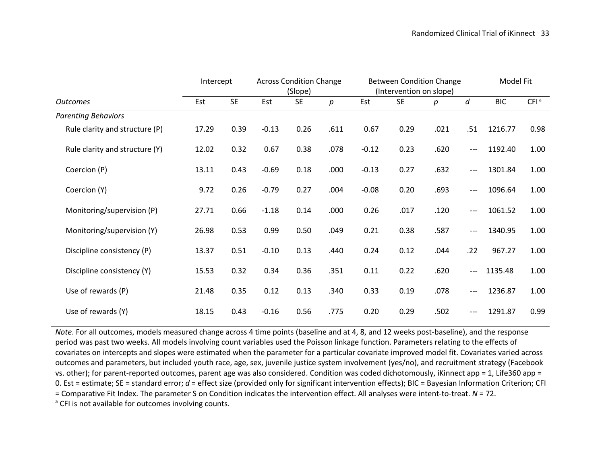|                                | Intercept |           | <b>Across Condition Change</b> |           | <b>Between Condition Change</b><br>(Slope)<br>(Intervention on slope) |         |           | Model Fit |       |            |                  |
|--------------------------------|-----------|-----------|--------------------------------|-----------|-----------------------------------------------------------------------|---------|-----------|-----------|-------|------------|------------------|
| <b>Outcomes</b>                | Est       | <b>SE</b> | Est                            | <b>SE</b> | р                                                                     | Est     | <b>SE</b> | р         | d     | <b>BIC</b> | CFI <sup>a</sup> |
| <b>Parenting Behaviors</b>     |           |           |                                |           |                                                                       |         |           |           |       |            |                  |
| Rule clarity and structure (P) | 17.29     | 0.39      | $-0.13$                        | 0.26      | .611                                                                  | 0.67    | 0.29      | .021      | .51   | 1216.77    | 0.98             |
| Rule clarity and structure (Y) | 12.02     | 0.32      | 0.67                           | 0.38      | .078                                                                  | $-0.12$ | 0.23      | .620      | ---   | 1192.40    | 1.00             |
| Coercion (P)                   | 13.11     | 0.43      | $-0.69$                        | 0.18      | .000                                                                  | $-0.13$ | 0.27      | .632      | ---   | 1301.84    | 1.00             |
| Coercion (Y)                   | 9.72      | 0.26      | $-0.79$                        | 0.27      | .004                                                                  | $-0.08$ | 0.20      | .693      | ---   | 1096.64    | 1.00             |
| Monitoring/supervision (P)     | 27.71     | 0.66      | $-1.18$                        | 0.14      | .000                                                                  | 0.26    | .017      | .120      | $---$ | 1061.52    | 1.00             |
| Monitoring/supervision (Y)     | 26.98     | 0.53      | 0.99                           | 0.50      | .049                                                                  | 0.21    | 0.38      | .587      | $---$ | 1340.95    | 1.00             |
| Discipline consistency (P)     | 13.37     | 0.51      | $-0.10$                        | 0.13      | .440                                                                  | 0.24    | 0.12      | .044      | .22   | 967.27     | 1.00             |
| Discipline consistency (Y)     | 15.53     | 0.32      | 0.34                           | 0.36      | .351                                                                  | 0.11    | 0.22      | .620      | ---   | 1135.48    | 1.00             |
| Use of rewards (P)             | 21.48     | 0.35      | 0.12                           | 0.13      | .340                                                                  | 0.33    | 0.19      | .078      | ---   | 1236.87    | 1.00             |
| Use of rewards (Y)             | 18.15     | 0.43      | $-0.16$                        | 0.56      | .775                                                                  | 0.20    | 0.29      | .502      | ---   | 1291.87    | 0.99             |

*Note*. For all outcomes, models measured change across 4 time points (baseline and at 4, 8, and 12 weeks post-baseline), and the response period was past two weeks. All models involving count variables used the Poisson linkage function. Parameters relating to the effects of covariates on intercepts and slopes were estimated when the parameter for a particular covariate improved model fit. Covariates varied across outcomes and parameters, but included youth race, age, sex, juvenile justice system involvement (yes/no), and recruitment strategy (Facebook vs. other); for parent-reported outcomes, parent age was also considered. Condition was coded dichotomously, iKinnect app = 1, Life360 app = 0. Est = estimate; SE = standard error; *d* = effect size (provided only for significant intervention effects); BIC = Bayesian Information Criterion; CFI = Comparative Fit Index. The parameter S on Condition indicates the intervention effect. All analyses were intent-to-treat. *N* = 72.<br><sup>a</sup> CFI is not available for outcomes involving counts.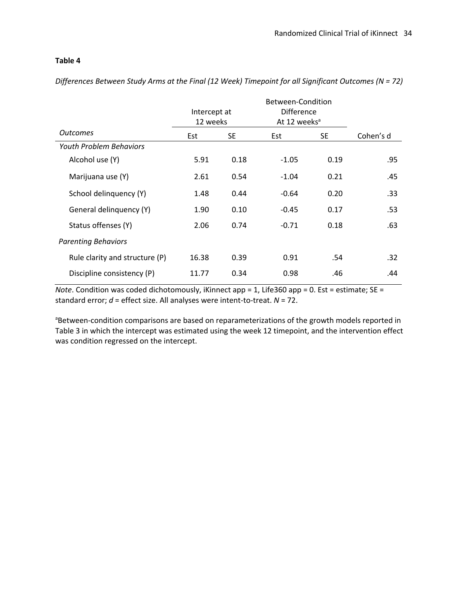# **Table 4**

*Differences Between Study Arms at the Final (12 Week) Timepoint for all Significant Outcomes (N = 72)*

|                                | Intercept at |      | <b>Difference</b>        |           |                  |
|--------------------------------|--------------|------|--------------------------|-----------|------------------|
|                                | 12 weeks     |      | At 12 weeks <sup>a</sup> |           |                  |
| <b>Outcomes</b>                | SE.<br>Est   |      | Est                      | <b>SE</b> | Cohen's d        |
| <b>Youth Problem Behaviors</b> |              |      |                          |           |                  |
| Alcohol use (Y)                | 5.91         | 0.18 | $-1.05$                  | 0.19      | .95              |
| Marijuana use (Y)              | 2.61         | 0.54 | $-1.04$                  | 0.21      | .45              |
| School delinquency (Y)         | 1.48         | 0.44 | $-0.64$                  | 0.20      | .33              |
| General delinquency (Y)        | 1.90         | 0.10 | $-0.45$                  | 0.17      | .53              |
| Status offenses (Y)            | 2.06         | 0.74 | $-0.71$                  | 0.18      | .63              |
| <b>Parenting Behaviors</b>     |              |      |                          |           |                  |
| Rule clarity and structure (P) | 16.38        | 0.39 | 0.91                     | .54       | .32 <sub>1</sub> |
| Discipline consistency (P)     | 11.77        | 0.34 | 0.98                     | .46       | .44              |

*Note*. Condition was coded dichotomously, iKinnect app = 1, Life360 app = 0. Est = estimate; SE = standard error; *d* = effect size. All analyses were intent-to-treat. *N* = 72.

<sup>a</sup>Between-condition comparisons are based on reparameterizations of the growth models reported in Table 3 in which the intercept was estimated using the week 12 timepoint, and the intervention effect was condition regressed on the intercept.